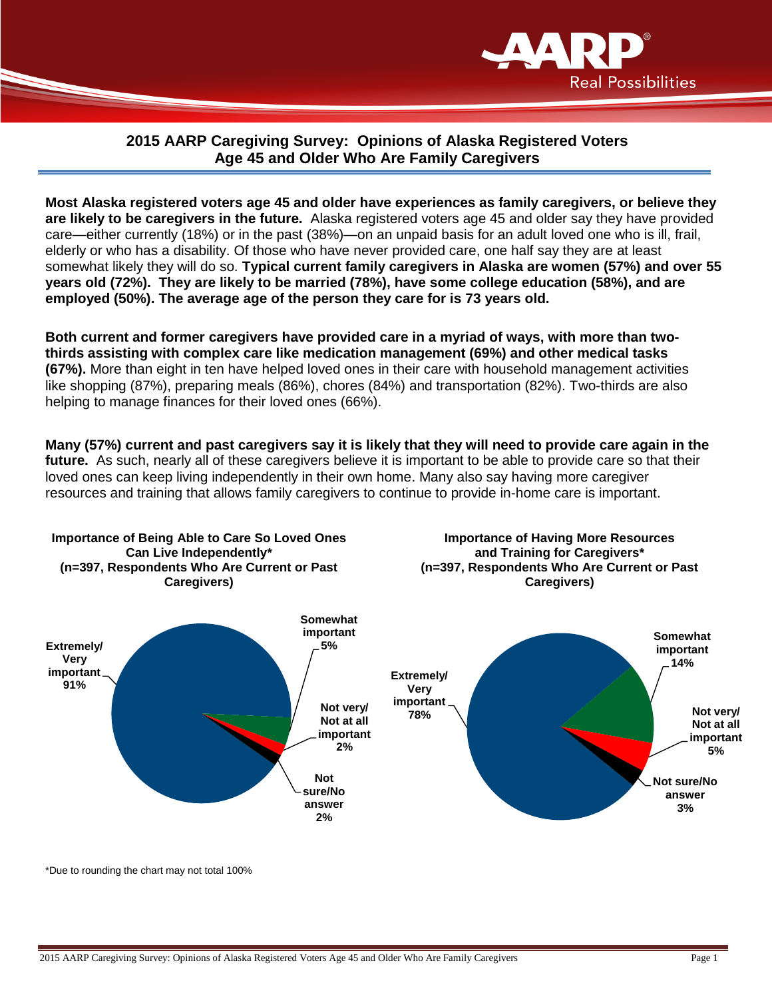

## **2015 AARP Caregiving Survey: Opinions of Alaska Registered Voters Age 45 and Older Who Are Family Caregivers**

**Most Alaska registered voters age 45 and older have experiences as family caregivers, or believe they are likely to be caregivers in the future.** Alaska registered voters age 45 and older say they have provided care—either currently (18%) or in the past (38%)—on an unpaid basis for an adult loved one who is ill, frail, elderly or who has a disability. Of those who have never provided care, one half say they are at least somewhat likely they will do so. **Typical current family caregivers in Alaska are women (57%) and over 55 years old (72%). They are likely to be married (78%), have some college education (58%), and are employed (50%). The average age of the person they care for is 73 years old.** 

**Both current and former caregivers have provided care in a myriad of ways, with more than twothirds assisting with complex care like medication management (69%) and other medical tasks (67%).** More than eight in ten have helped loved ones in their care with household management activities like shopping (87%), preparing meals (86%), chores (84%) and transportation (82%). Two-thirds are also helping to manage finances for their loved ones (66%).

**Many (57%) current and past caregivers say it is likely that they will need to provide care again in the future.** As such, nearly all of these caregivers believe it is important to be able to provide care so that their loved ones can keep living independently in their own home. Many also say having more caregiver resources and training that allows family caregivers to continue to provide in-home care is important.



\*Due to rounding the chart may not total 100%